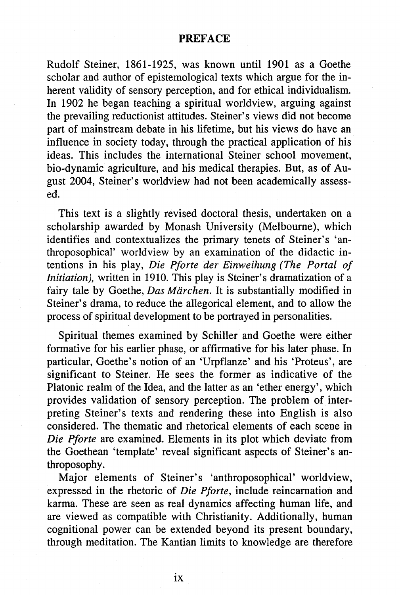## **PREFACE**

Rudolf Steiner, 1861-1925, was known until 1901 as a Goethe scholar and author of epistemological texts which argue for the inherent validity of sensory perception, and for ethical individualism. In 1902 he began teaching a spiritual worldview, arguing against the prevailing reductionist attitudes. Steiner's views did not become part of mainstream debate in his lifetime, but his views do have an influence in society today, through the practical application of his ideas. This includes the international Steiner school movement, bio-dynamic agriculture, and his medical therapies. But, as of August 2004, Steiner's worldview had not been academically assessed.

This text is a slightly revised doctoral thesis, undertaken on a scholarship awarded by Monash University (Melbourne), which identifies and contextualizes the primary tenets of Steiner's 'anthroposophical' worldview by an examination of the didactic intentions in his play, *Die Pforte der Einweihung (The Portal of Initiation),* written in 1910. This play is Steiner's dramatization of a fairy tale by Goethe, *Das Marchen.* It is substantially modified in Steiner's drama, to reduce the allegorical element, and to allow the process of spiritual development to be portrayed in personalities.

Spiritual themes examined by Schiller and Goethe were either formative for his earlier phase, or affirmative for his later phase. In particular, Goethe's notion of an 'Urpflanze' and his 'Proteus', are significant to Steiner. He sees the former as indicative of the Platonic realm of the Idea, and the latter as an 'ether energy', which provides validation of sensory perception. The problem of interpreting Steiner's texts and rendering these into English is also considered. The thematic and rhetorical elements of each scene in *Die Pforte* are examined. Elements in its plot which deviate from the Goethean 'template' reveal significant aspects of Steiner's anthroposophy.

Major elements of Steiner's 'anthroposophical' worldview, expressed in the rhetoric of *Die Pforte,* include reincarnation and karma. These are seen as real dynamics affecting human life, and are viewed as compatible with Christianity. Additionally, human cognitional power can be extended beyond its present boundary, through meditation. The Kantian limits to knowledge are therefore

**IX**